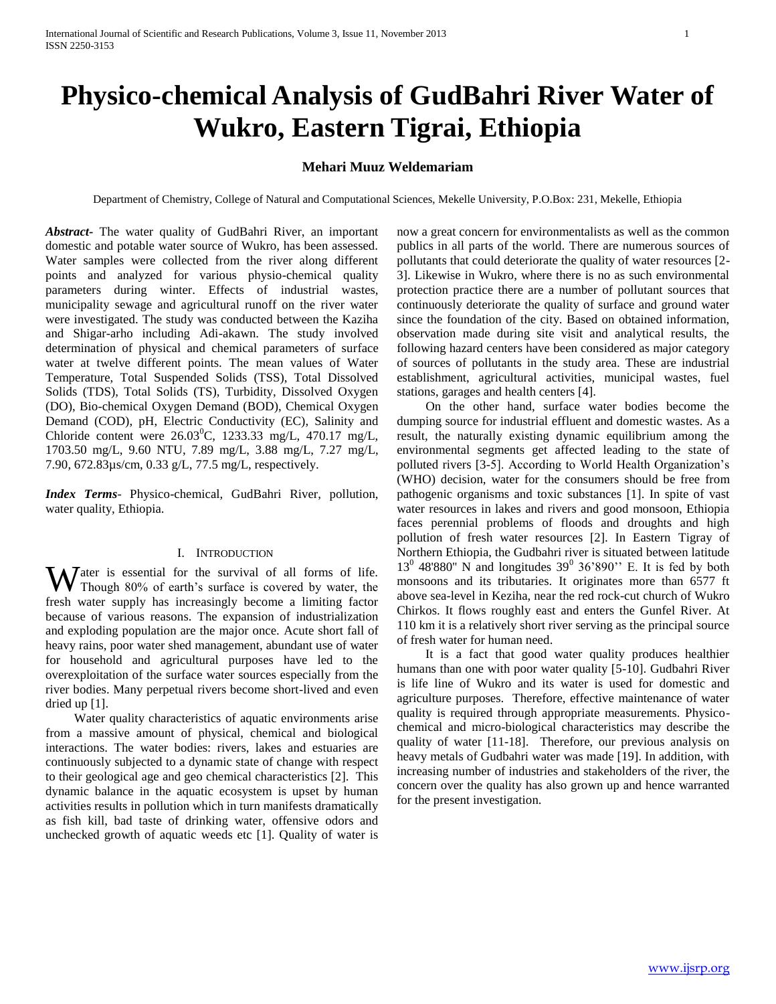# **Physico-chemical Analysis of GudBahri River Water of Wukro, Eastern Tigrai, Ethiopia**

## **Mehari Muuz Weldemariam**

Department of Chemistry, College of Natural and Computational Sciences, Mekelle University, P.O.Box: 231, Mekelle, Ethiopia

*Abstract***-** The water quality of GudBahri River, an important domestic and potable water source of Wukro, has been assessed. Water samples were collected from the river along different points and analyzed for various physio-chemical quality parameters during winter. Effects of industrial wastes, municipality sewage and agricultural runoff on the river water were investigated. The study was conducted between the Kaziha and Shigar-arho including Adi-akawn. The study involved determination of physical and chemical parameters of surface water at twelve different points. The mean values of Water Temperature, Total Suspended Solids (TSS), Total Dissolved Solids (TDS), Total Solids (TS), Turbidity, Dissolved Oxygen (DO), Bio-chemical Oxygen Demand (BOD), Chemical Oxygen Demand (COD), pH, Electric Conductivity (EC), Salinity and Chloride content were  $26.03^{\circ}$ C, 1233.33 mg/L, 470.17 mg/L, 1703.50 mg/L, 9.60 NTU, 7.89 mg/L, 3.88 mg/L, 7.27 mg/L, 7.90, 672.83µs/cm, 0.33 g/L, 77.5 mg/L, respectively.

*Index Terms*- Physico-chemical, GudBahri River, pollution, water quality, Ethiopia.

## I. INTRODUCTION

Water is essential for the survival of all forms of life.<br>Though 80% of earth's surface is covered by water, the Though 80% of earth's surface is covered by water, the fresh water supply has increasingly become a limiting factor because of various reasons. The expansion of industrialization and exploding population are the major once. Acute short fall of heavy rains, poor water shed management, abundant use of water for household and agricultural purposes have led to the overexploitation of the surface water sources especially from the river bodies. Many perpetual rivers become short-lived and even dried up [1].

 Water quality characteristics of aquatic environments arise from a massive amount of physical, chemical and biological interactions. The water bodies: rivers, lakes and estuaries are continuously subjected to a dynamic state of change with respect to their geological age and geo chemical characteristics [2]. This dynamic balance in the aquatic ecosystem is upset by human activities results in pollution which in turn manifests dramatically as fish kill, bad taste of drinking water, offensive odors and unchecked growth of aquatic weeds etc [1]. Quality of water is

now a great concern for environmentalists as well as the common publics in all parts of the world. There are numerous sources of pollutants that could deteriorate the quality of water resources [2- 3]. Likewise in Wukro, where there is no as such environmental protection practice there are a number of pollutant sources that continuously deteriorate the quality of surface and ground water since the foundation of the city. Based on obtained information, observation made during site visit and analytical results, the following hazard centers have been considered as major category of sources of pollutants in the study area. These are industrial establishment, agricultural activities, municipal wastes, fuel stations, garages and health centers [4].

 On the other hand, surface water bodies become the dumping source for industrial effluent and domestic wastes. As a result, the naturally existing dynamic equilibrium among the environmental segments get affected leading to the state of polluted rivers [3-5]. According to World Health Organization's (WHO) decision, water for the consumers should be free from pathogenic organisms and toxic substances [1]. In spite of vast water resources in lakes and rivers and good monsoon, Ethiopia faces perennial problems of floods and droughts and high pollution of fresh water resources [2]. In Eastern Tigray of Northern Ethiopia, the Gudbahri river is situated between latitude  $13<sup>0</sup>$  48'880" N and longitudes  $39<sup>0</sup>$  36'890" E. It is fed by both monsoons and its tributaries. It originates more than 6577 ft above sea-level in Keziha, near the red rock-cut church of Wukro Chirkos. It flows roughly east and enters the Gunfel River. At 110 km it is a relatively short river serving as the principal source of fresh water for human need.

 It is a fact that good water quality produces healthier humans than one with poor water quality [5-10]. Gudbahri River is life line of Wukro and its water is used for domestic and agriculture purposes. Therefore, effective maintenance of water quality is required through appropriate measurements. Physicochemical and micro-biological characteristics may describe the quality of water [11-18]. Therefore, our previous analysis on heavy metals of Gudbahri water was made [19]. In addition, with increasing number of industries and stakeholders of the river, the concern over the quality has also grown up and hence warranted for the present investigation.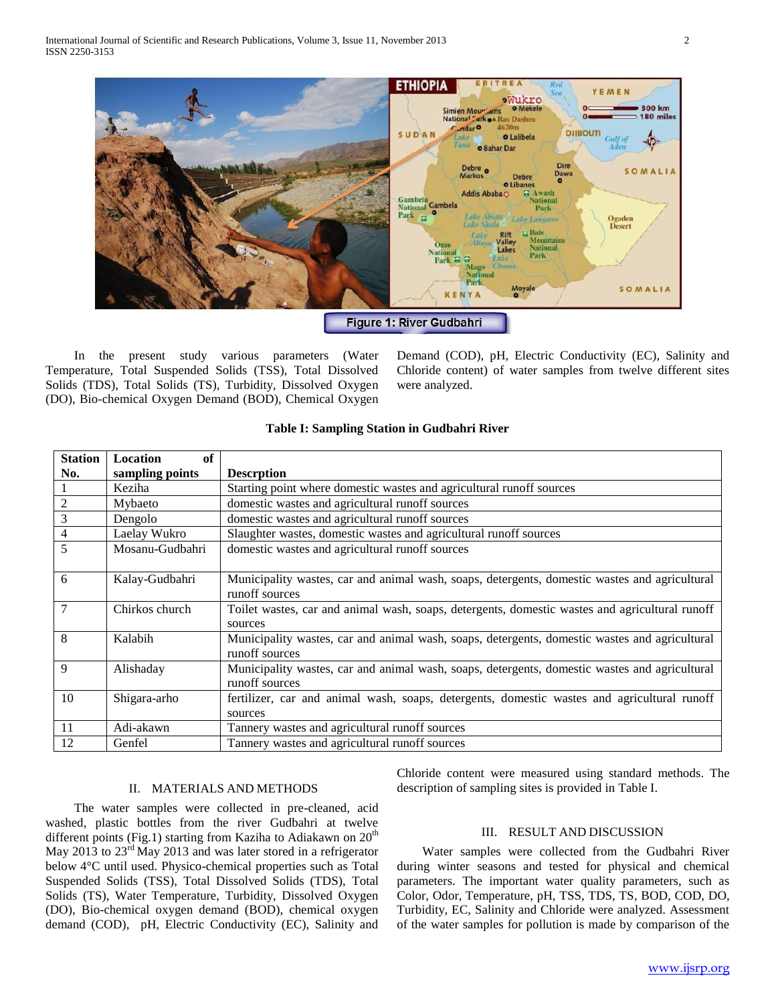

 In the present study various parameters (Water Temperature, Total Suspended Solids (TSS), Total Dissolved Solids (TDS), Total Solids (TS), Turbidity, Dissolved Oxygen (DO), Bio-chemical Oxygen Demand (BOD), Chemical Oxygen

Demand (COD), pH, Electric Conductivity (EC), Salinity and Chloride content) of water samples from twelve different sites were analyzed.

| <b>Station</b> | of<br>Location  |                                                                                                                 |
|----------------|-----------------|-----------------------------------------------------------------------------------------------------------------|
| No.            | sampling points | <b>Descrption</b>                                                                                               |
|                | Keziha          | Starting point where domestic wastes and agricultural runoff sources                                            |
| $\sqrt{2}$     | Mybaeto         | domestic wastes and agricultural runoff sources                                                                 |
| 3              | Dengolo         | domestic wastes and agricultural runoff sources                                                                 |
| $\overline{4}$ | Laelay Wukro    | Slaughter wastes, domestic wastes and agricultural runoff sources                                               |
| 5              | Mosanu-Gudbahri | domestic wastes and agricultural runoff sources                                                                 |
| 6              | Kalay-Gudbahri  | Municipality wastes, car and animal wash, soaps, detergents, domestic wastes and agricultural<br>runoff sources |
| 7              | Chirkos church  | Toilet wastes, car and animal wash, soaps, detergents, domestic wastes and agricultural runoff<br>sources       |
| 8              | Kalabih         | Municipality wastes, car and animal wash, soaps, detergents, domestic wastes and agricultural<br>runoff sources |
| 9              | Alishaday       | Municipality wastes, car and animal wash, soaps, detergents, domestic wastes and agricultural<br>runoff sources |
| 10             | Shigara-arho    | fertilizer, car and animal wash, soaps, detergents, domestic wastes and agricultural runoff<br>sources          |
| 11             | Adi-akawn       | Tannery wastes and agricultural runoff sources                                                                  |
| 12             | Genfel          | Tannery wastes and agricultural runoff sources                                                                  |

### **Table I: Sampling Station in Gudbahri River**

## II. MATERIALS AND METHODS

 The water samples were collected in pre-cleaned, acid washed, plastic bottles from the river Gudbahri at twelve different points (Fig.1) starting from Kaziha to Adiakawn on  $20<sup>th</sup>$ May 2013 to  $23<sup>rd</sup>$  May 2013 and was later stored in a refrigerator below 4°C until used. Physico-chemical properties such as Total Suspended Solids (TSS), Total Dissolved Solids (TDS), Total Solids (TS), Water Temperature, Turbidity, Dissolved Oxygen (DO), Bio-chemical oxygen demand (BOD), chemical oxygen demand (COD), pH, Electric Conductivity (EC), Salinity and

Chloride content were measured using standard methods. The description of sampling sites is provided in Table I.

#### III. RESULT AND DISCUSSION

 Water samples were collected from the Gudbahri River during winter seasons and tested for physical and chemical parameters. The important water quality parameters, such as Color, Odor, Temperature, pH, TSS, TDS, TS, BOD, COD, DO, Turbidity, EC, Salinity and Chloride were analyzed. Assessment of the water samples for pollution is made by comparison of the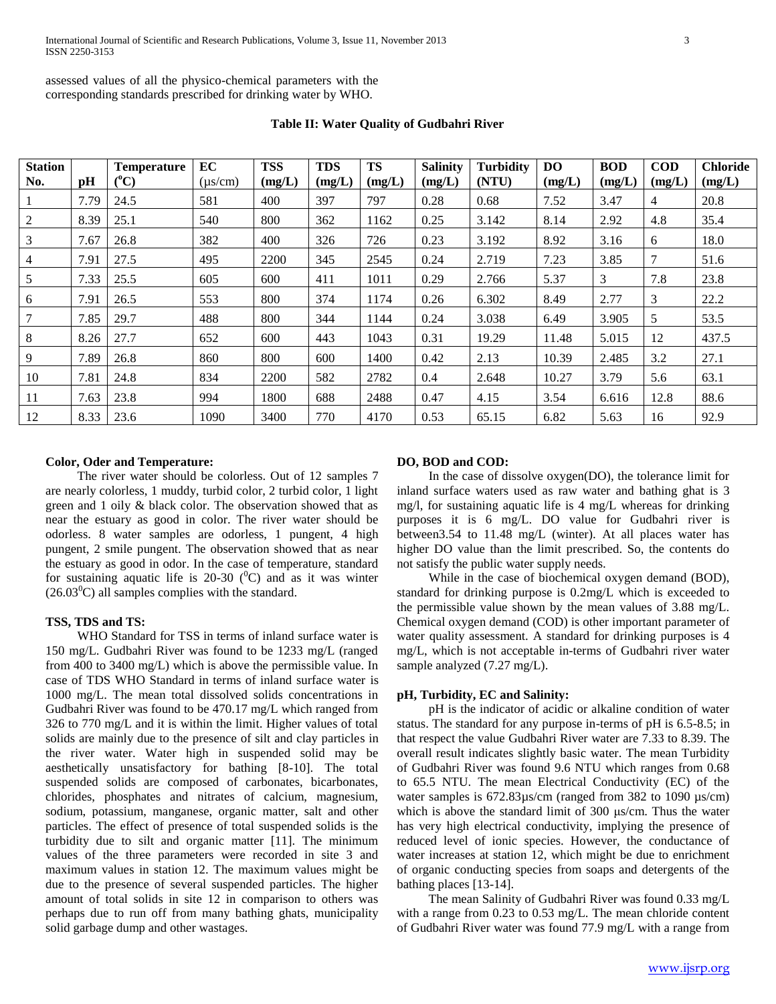assessed values of all the physico-chemical parameters with the corresponding standards prescribed for drinking water by WHO.

| <b>Station</b><br>No. | pH   | <b>Temperature</b><br>$(^{\circ}C)$ | EC<br>(us/cm) | <b>TSS</b><br>(mg/L) | <b>TDS</b><br>(mg/L) | <b>TS</b><br>(mg/L) | <b>Salinity</b><br>(mg/L) | <b>Turbidity</b><br>(NTU) | D <sub>O</sub><br>(mg/L) | <b>BOD</b><br>(mg/L) | <b>COD</b><br>(mg/L) | <b>Chloride</b><br>(mg/L) |
|-----------------------|------|-------------------------------------|---------------|----------------------|----------------------|---------------------|---------------------------|---------------------------|--------------------------|----------------------|----------------------|---------------------------|
|                       | 7.79 | 24.5                                | 581           | 400                  | 397                  | 797                 | 0.28                      | 0.68                      | 7.52                     | 3.47                 | $\overline{4}$       | 20.8                      |
| 2                     | 8.39 | 25.1                                | 540           | 800                  | 362                  | 1162                | 0.25                      | 3.142                     | 8.14                     | 2.92                 | 4.8                  | 35.4                      |
| 3                     | 7.67 | 26.8                                | 382           | 400                  | 326                  | 726                 | 0.23                      | 3.192                     | 8.92                     | 3.16                 | 6                    | 18.0                      |
| $\overline{4}$        | 7.91 | 27.5                                | 495           | 2200                 | 345                  | 2545                | 0.24                      | 2.719                     | 7.23                     | 3.85                 | 7                    | 51.6                      |
| 5                     | 7.33 | 25.5                                | 605           | 600                  | 411                  | 1011                | 0.29                      | 2.766                     | 5.37                     | 3                    | 7.8                  | 23.8                      |
| 6                     | 7.91 | 26.5                                | 553           | 800                  | 374                  | 1174                | 0.26                      | 6.302                     | 8.49                     | 2.77                 | 3                    | 22.2                      |
|                       | 7.85 | 29.7                                | 488           | 800                  | 344                  | 1144                | 0.24                      | 3.038                     | 6.49                     | 3.905                | 5                    | 53.5                      |
| 8                     | 8.26 | 27.7                                | 652           | 600                  | 443                  | 1043                | 0.31                      | 19.29                     | 11.48                    | 5.015                | 12                   | 437.5                     |
| 9                     | 7.89 | 26.8                                | 860           | 800                  | 600                  | 1400                | 0.42                      | 2.13                      | 10.39                    | 2.485                | 3.2                  | 27.1                      |
| 10                    | 7.81 | 24.8                                | 834           | 2200                 | 582                  | 2782                | 0.4                       | 2.648                     | 10.27                    | 3.79                 | 5.6                  | 63.1                      |
| 11                    | 7.63 | 23.8                                | 994           | 1800                 | 688                  | 2488                | 0.47                      | 4.15                      | 3.54                     | 6.616                | 12.8                 | 88.6                      |
| 12                    | 8.33 | 23.6                                | 1090          | 3400                 | 770                  | 4170                | 0.53                      | 65.15                     | 6.82                     | 5.63                 | 16                   | 92.9                      |

**Table II: Water Quality of Gudbahri River**

## **Color, Oder and Temperature:**

 The river water should be colorless. Out of 12 samples 7 are nearly colorless, 1 muddy, turbid color, 2 turbid color, 1 light green and 1 oily & black color. The observation showed that as near the estuary as good in color. The river water should be odorless. 8 water samples are odorless, 1 pungent, 4 high pungent, 2 smile pungent. The observation showed that as near the estuary as good in odor. In the case of temperature, standard for sustaining aquatic life is 20-30  $(^{0}C)$  and as it was winter  $(26.03^0C)$  all samples complies with the standard.

## **TSS, TDS and TS:**

 WHO Standard for TSS in terms of inland surface water is 150 mg/L. Gudbahri River was found to be 1233 mg/L (ranged from 400 to 3400 mg/L) which is above the permissible value. In case of TDS WHO Standard in terms of inland surface water is 1000 mg/L. The mean total dissolved solids concentrations in Gudbahri River was found to be 470.17 mg/L which ranged from 326 to 770 mg/L and it is within the limit. Higher values of total solids are mainly due to the presence of silt and clay particles in the river water. Water high in suspended solid may be aesthetically unsatisfactory for bathing [8-10]. The total suspended solids are composed of carbonates, bicarbonates, chlorides, phosphates and nitrates of calcium, magnesium, sodium, potassium, manganese, organic matter, salt and other particles. The effect of presence of total suspended solids is the turbidity due to silt and organic matter [11]. The minimum values of the three parameters were recorded in site 3 and maximum values in station 12. The maximum values might be due to the presence of several suspended particles. The higher amount of total solids in site 12 in comparison to others was perhaps due to run off from many bathing ghats, municipality solid garbage dump and other wastages.

### **DO, BOD and COD:**

 In the case of dissolve oxygen(DO), the tolerance limit for inland surface waters used as raw water and bathing ghat is 3 mg/l, for sustaining aquatic life is 4 mg/L whereas for drinking purposes it is 6 mg/L. DO value for Gudbahri river is between3.54 to 11.48 mg/L (winter). At all places water has higher DO value than the limit prescribed. So, the contents do not satisfy the public water supply needs.

 While in the case of biochemical oxygen demand (BOD), standard for drinking purpose is 0.2mg/L which is exceeded to the permissible value shown by the mean values of 3.88 mg/L. Chemical oxygen demand (COD) is other important parameter of water quality assessment. A standard for drinking purposes is 4 mg/L, which is not acceptable in-terms of Gudbahri river water sample analyzed (7.27 mg/L).

#### **pH, Turbidity, EC and Salinity:**

 pH is the indicator of acidic or alkaline condition of water status. The standard for any purpose in-terms of pH is 6.5-8.5; in that respect the value Gudbahri River water are 7.33 to 8.39. The overall result indicates slightly basic water. The mean Turbidity of Gudbahri River was found 9.6 NTU which ranges from 0.68 to 65.5 NTU. The mean Electrical Conductivity (EC) of the water samples is  $672.83\mu s/cm$  (ranged from 382 to 1090  $\mu s/cm$ ) which is above the standard limit of 300 μs/cm. Thus the water has very high electrical conductivity, implying the presence of reduced level of ionic species. However, the conductance of water increases at station 12, which might be due to enrichment of organic conducting species from soaps and detergents of the bathing places [13-14].

 The mean Salinity of Gudbahri River was found 0.33 mg/L with a range from 0.23 to 0.53 mg/L. The mean chloride content of Gudbahri River water was found 77.9 mg/L with a range from